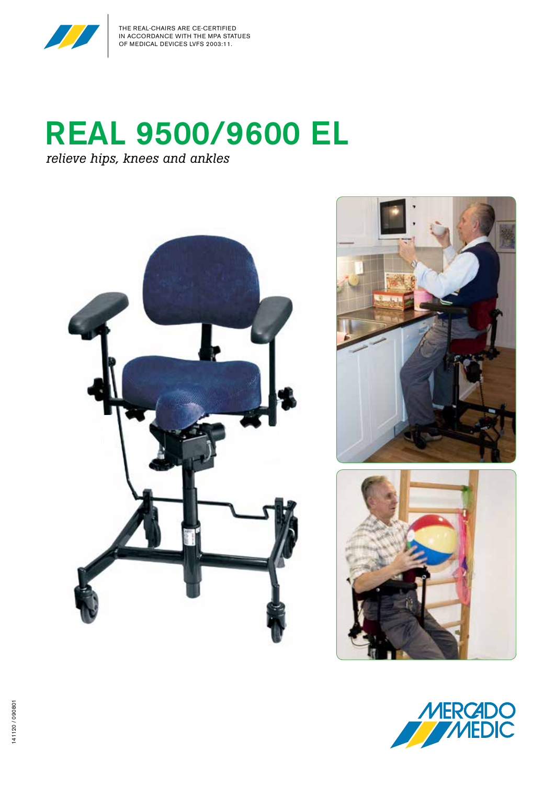

## REAL 9500/9600 EL *relieve hips, knees and ankles*